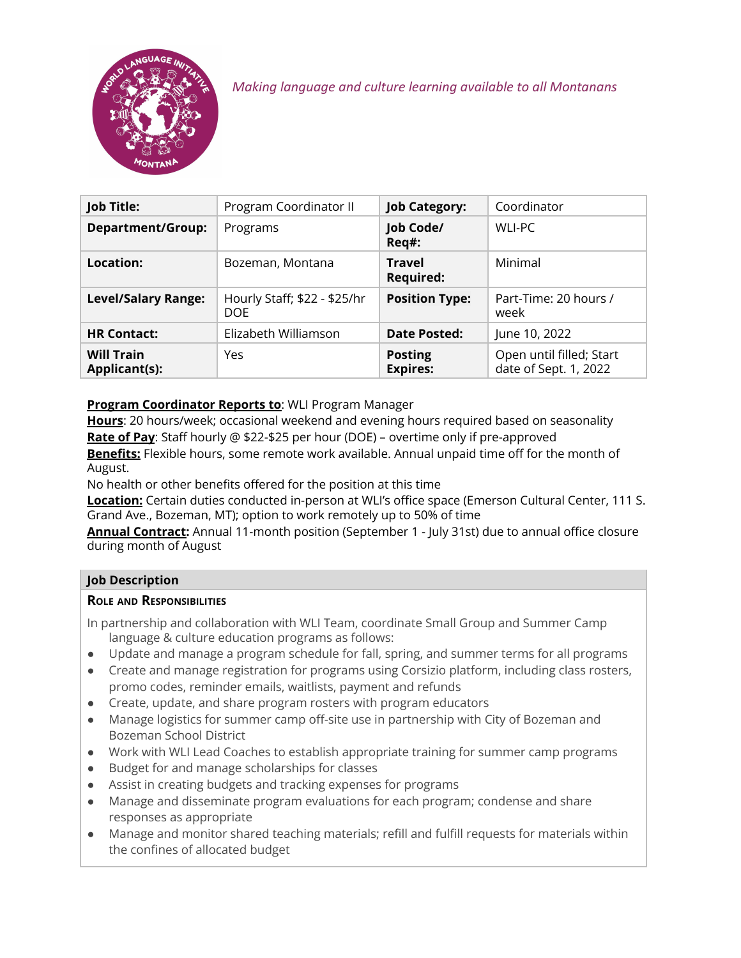

*Making language and culture learning available to all Montanans*

| Job Title:                         | Program Coordinator II               | <b>Job Category:</b>              | Coordinator                                       |
|------------------------------------|--------------------------------------|-----------------------------------|---------------------------------------------------|
| <b>Department/Group:</b>           | Programs                             | Job Code/<br>Req#:                | WLI-PC                                            |
| Location:                          | Bozeman, Montana                     | <b>Travel</b><br><b>Required:</b> | Minimal                                           |
| <b>Level/Salary Range:</b>         | Hourly Staff; \$22 - \$25/hr<br>DOE. | <b>Position Type:</b>             | Part-Time: 20 hours /<br>week                     |
| <b>HR Contact:</b>                 | Elizabeth Williamson                 | <b>Date Posted:</b>               | June 10, 2022                                     |
| <b>Will Train</b><br>Applicant(s): | Yes                                  | <b>Posting</b><br><b>Expires:</b> | Open until filled; Start<br>date of Sept. 1, 2022 |

# **Program Coordinator Reports to**: WLI Program Manager

**Hours**: 20 hours/week; occasional weekend and evening hours required based on seasonality **Rate of Pay**: Staff hourly @ \$22-\$25 per hour (DOE) – overtime only if pre-approved **Benefits:** Flexible hours, some remote work available. Annual unpaid time off for the month of August.

No health or other benefits offered for the position at this time

**Location:** Certain duties conducted in-person at WLI's office space (Emerson Cultural Center, 111 S. Grand Ave., Bozeman, MT); option to work remotely up to 50% of time

**Annual Contract:** Annual 11-month position (September 1 - July 31st) due to annual office closure during month of August

## **Job Description**

#### **ROLE AND RESPONSIBILITIES**

In partnership and collaboration with WLI Team, coordinate Small Group and Summer Camp language & culture education programs as follows:

- Update and manage a program schedule for fall, spring, and summer terms for all programs
- Create and manage registration for programs using Corsizio platform, including class rosters, promo codes, reminder emails, waitlists, payment and refunds
- Create, update, and share program rosters with program educators
- Manage logistics for summer camp off-site use in partnership with City of Bozeman and Bozeman School District
- Work with WLI Lead Coaches to establish appropriate training for summer camp programs
- Budget for and manage scholarships for classes
- Assist in creating budgets and tracking expenses for programs
- Manage and disseminate program evaluations for each program; condense and share responses as appropriate
- Manage and monitor shared teaching materials; refill and fulfill requests for materials within the confines of allocated budget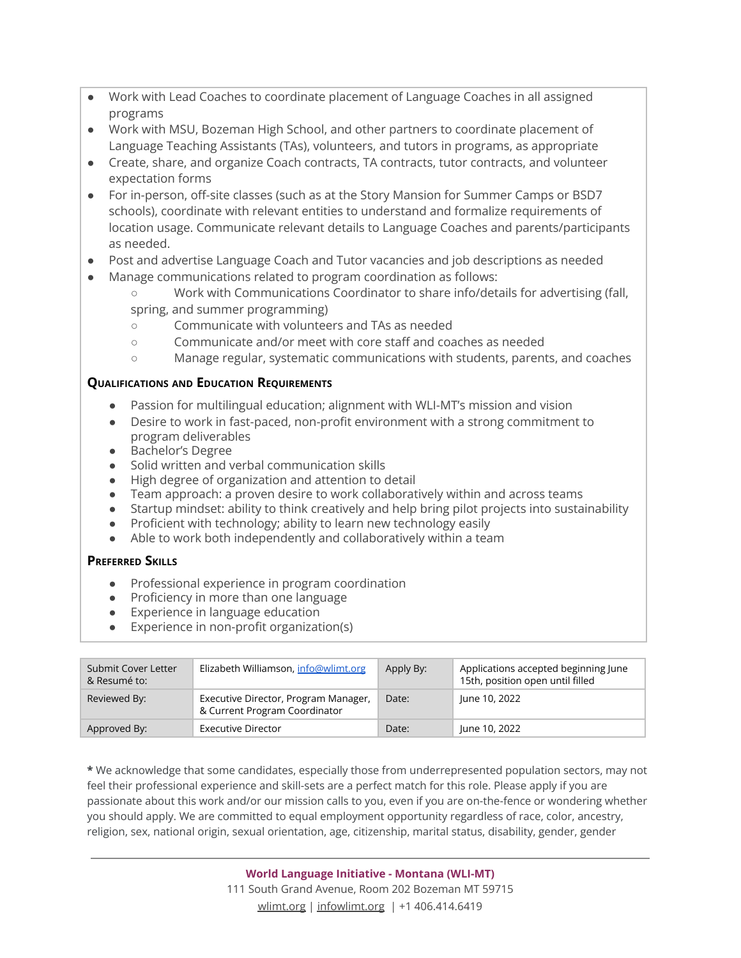- Work with Lead Coaches to coordinate placement of Language Coaches in all assigned programs
- Work with MSU, Bozeman High School, and other partners to coordinate placement of Language Teaching Assistants (TAs), volunteers, and tutors in programs, as appropriate
- Create, share, and organize Coach contracts, TA contracts, tutor contracts, and volunteer expectation forms
- For in-person, off-site classes (such as at the Story Mansion for Summer Camps or BSD7 schools), coordinate with relevant entities to understand and formalize requirements of location usage. Communicate relevant details to Language Coaches and parents/participants as needed.
- Post and advertise Language Coach and Tutor vacancies and job descriptions as needed
- Manage communications related to program coordination as follows:
	- Work with Communications Coordinator to share info/details for advertising (fall, spring, and summer programming)
	- Communicate with volunteers and TAs as needed
	- Communicate and/or meet with core staff and coaches as needed
	- Manage regular, systematic communications with students, parents, and coaches

### **QUALIFICATIONS AND EDUCATION REQUIREMENTS**

- Passion for multilingual education; alignment with WLI-MT's mission and vision
- Desire to work in fast-paced, non-profit environment with a strong commitment to program deliverables
- Bachelor's Degree
- Solid written and verbal communication skills
- High degree of organization and attention to detail
- $\bullet$  Team approach: a proven desire to work collaboratively within and across teams
- Startup mindset: ability to think creatively and help bring pilot projects into sustainability
- Proficient with technology; ability to learn new technology easily
- Able to work both independently and collaboratively within a team

#### **PREFERRED SKILLS**

- Professional experience in program coordination
- Proficiency in more than one language
- Experience in language education
- Experience in non-profit organization(s)

| Submit Cover Letter<br>& Resumé to: | Elizabeth Williamson, info@wlimt.org                                  | Apply By: | Applications accepted beginning June<br>15th, position open until filled |
|-------------------------------------|-----------------------------------------------------------------------|-----------|--------------------------------------------------------------------------|
| Reviewed By:                        | Executive Director, Program Manager,<br>& Current Program Coordinator | Date:     | June 10, 2022                                                            |
| Approved By:                        | <b>Executive Director</b>                                             | Date:     | June 10, 2022                                                            |

**\*** We acknowledge that some candidates, especially those from underrepresented population sectors, may not feel their professional experience and skill-sets are a perfect match for this role. Please apply if you are passionate about this work and/or our mission calls to you, even if you are on-the-fence or wondering whether you should apply. We are committed to equal employment opportunity regardless of race, color, ancestry, religion, sex, national origin, sexual orientation, age, citizenship, marital status, disability, gender, gender